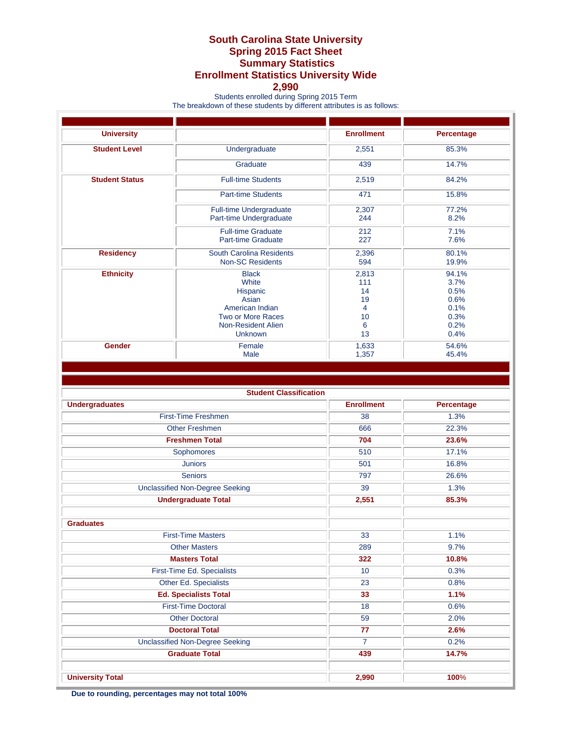## **South Carolina State University Spring 2015 Fact Sheet Summary Statistics Enrollment Statistics University Wide**

## **2,990**

Students enrolled during Spring 2015 Term

The breakdown of these students by different attributes is as follows:

| <b>University</b>     |                                                                                                                            | <b>Enrollment</b>                              | <b>Percentage</b>                                             |
|-----------------------|----------------------------------------------------------------------------------------------------------------------------|------------------------------------------------|---------------------------------------------------------------|
| <b>Student Level</b>  | Undergraduate                                                                                                              | 2,551                                          | 85.3%                                                         |
|                       | Graduate                                                                                                                   | 439                                            | 14.7%                                                         |
| <b>Student Status</b> | <b>Full-time Students</b>                                                                                                  | 2,519                                          | 84.2%                                                         |
|                       | <b>Part-time Students</b>                                                                                                  | 471                                            | 15.8%                                                         |
|                       | <b>Full-time Undergraduate</b><br>Part-time Undergraduate                                                                  | 2,307<br>244                                   | 77.2%<br>8.2%                                                 |
|                       | <b>Full-time Graduate</b><br><b>Part-time Graduate</b>                                                                     | 212<br>227                                     | 7.1%<br>7.6%                                                  |
| <b>Residency</b>      | South Carolina Residents<br><b>Non-SC Residents</b>                                                                        | 2,396<br>594                                   | 80.1%<br>19.9%                                                |
| <b>Ethnicity</b>      | <b>Black</b><br>White<br>Hispanic<br>Asian<br>American Indian<br>Two or More Races<br>Non-Resident Alien<br><b>Unknown</b> | 2,813<br>111<br>14<br>19<br>4<br>10<br>6<br>13 | 94.1%<br>3.7%<br>0.5%<br>0.6%<br>0.1%<br>0.3%<br>0.2%<br>0.4% |
| <b>Gender</b>         | Female<br>Male                                                                                                             | 1,633<br>1,357                                 | 54.6%<br>45.4%                                                |

| <b>Student Classification</b>          |                   |            |  |  |  |
|----------------------------------------|-------------------|------------|--|--|--|
| <b>Undergraduates</b>                  | <b>Enrollment</b> | Percentage |  |  |  |
| <b>First-Time Freshmen</b>             | 38                | 1.3%       |  |  |  |
| <b>Other Freshmen</b>                  | 666               | 22.3%      |  |  |  |
| <b>Freshmen Total</b>                  | 704               | 23.6%      |  |  |  |
| Sophomores                             | 510               | 17.1%      |  |  |  |
| <b>Juniors</b>                         | 501               | 16.8%      |  |  |  |
| <b>Seniors</b>                         | 797               | 26.6%      |  |  |  |
| <b>Unclassified Non-Degree Seeking</b> | 39                | 1.3%       |  |  |  |
| <b>Undergraduate Total</b>             | 2,551             | 85.3%      |  |  |  |
|                                        |                   |            |  |  |  |
| <b>Graduates</b>                       |                   |            |  |  |  |
| <b>First-Time Masters</b>              | 33                | 1.1%       |  |  |  |
| <b>Other Masters</b>                   | 289               | 9.7%       |  |  |  |
| <b>Masters Total</b>                   | 322               | 10.8%      |  |  |  |
| First-Time Ed. Specialists             | 10                | 0.3%       |  |  |  |
| Other Ed. Specialists                  | 23                | 0.8%       |  |  |  |
| <b>Ed. Specialists Total</b>           | 33                | 1.1%       |  |  |  |
| <b>First-Time Doctoral</b>             | 18                | 0.6%       |  |  |  |
| <b>Other Doctoral</b>                  | 59                | 2.0%       |  |  |  |
| <b>Doctoral Total</b>                  | 77                | 2.6%       |  |  |  |
| <b>Unclassified Non-Degree Seeking</b> | $\overline{7}$    | 0.2%       |  |  |  |
| <b>Graduate Total</b>                  | 439               | 14.7%      |  |  |  |
|                                        |                   |            |  |  |  |
| <b>University Total</b>                | 2,990             | 100%       |  |  |  |

**Due to rounding, percentages may not total 100%**